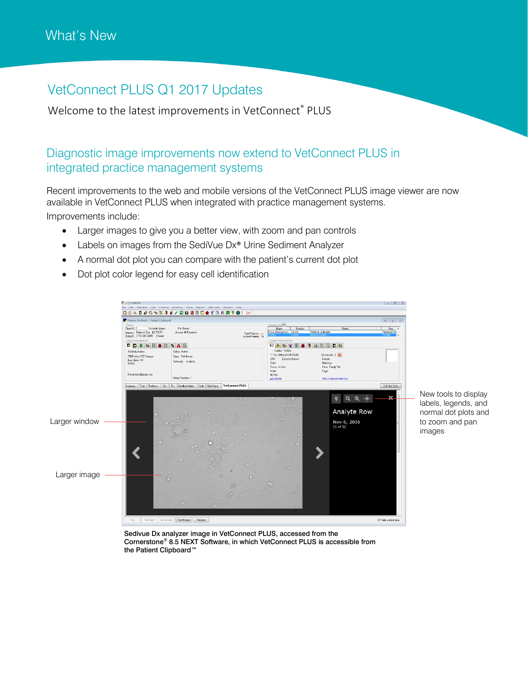## VetConnect PLUS Q1 2017 Updates

Welcome to the latest improvements in VetConnect® PLUS

## Diagnostic image improvements now extend to VetConnect PLUS in integrated practice management systems

Recent improvements to the web and mobile versions of the VetConnect PLUS image viewer are now available in VetConnect PLUS when integrated with practice management systems. Improvements include:

- Larger images to give you a better view, with zoom and pan controls
- Labels on images from the SediVue Dx<sup>®</sup> Urine Sediment Analyzer
- A normal dot plot you can compare with the patient's current dot plot
- Dot plot color legend for easy cell identification



New tools to display labels, legends, and normal dot plots and to zoom and pan images

Sedivue Dx analyzer image in VetConnect PLUS, accessed from the Cornerstone® 8.5 NEXT Software, in which VetConnect PLUS is accessible from the Patient Clipboard™